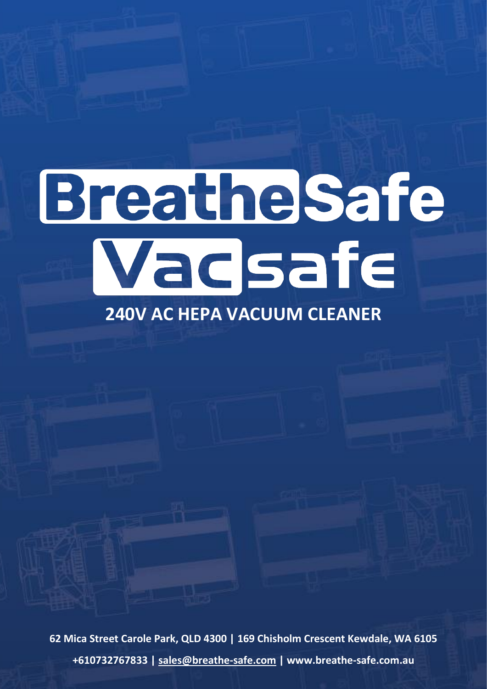# Breathelsafe Wadsafe

# **240V AC HEPA VACUUM CLEANER**

**62 Mica Street Carole Park, QLD 4300 | 169 Chisholm Crescent Kewdale, WA 6105 +610732767833 | [sales@breathe-safe.com](mailto:sales@breathe-safe.com) | www.breathe-safe.com.au**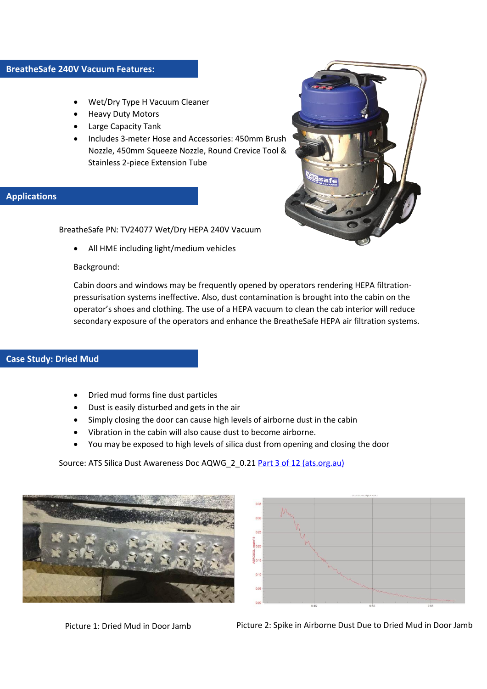- Wet/Dry Type H Vacuum Cleaner
- Heavy Duty Motors
- Large Capacity Tank
- Includes 3-meter Hose and Accessories: 450mm Brush Nozzle, 450mm Squeeze Nozzle, Round Crevice Tool & Stainless 2-piece Extension Tube

## **Applications**

BreatheSafe PN: TV24077 Wet/Dry HEPA 240V Vacuum

• All HME including light/medium vehicles

#### Background:

Cabin doors and windows may be frequently opened by operators rendering HEPA filtrationpressurisation systems ineffective. Also, dust contamination is brought into the cabin on the operator's shoes and clothing. The use of a HEPA vacuum to clean the cab interior will reduce secondary exposure of the operators and enhance the BreatheSafe HEPA air filtration systems.

#### **Case Study: Dried Mud**

- Dried mud forms fine dust particles
- Dust is easily disturbed and gets in the air
- Simply closing the door can cause high levels of airborne dust in the cabin
- Vibration in the cabin will also cause dust to become airborne.
- You may be exposed to high levels of silica dust from opening and closing the door

Source: ATS Silica Dust Awareness Doc AQWG\_2\_0.21 [Part 3 of 12 \(ats.org.au\)](http://www.ats.org.au/wp-content/uploads/2018/12/AQWG-Part-3-of-12-Silica-Dust-Awareness-Package-v0.21.pdf)



 $0.21$ a<br>Boo

Picture 1: Dried Mud in Door Jamb Picture 2: Spike in Airborne Dust Due to Dried Mud in Door Jamb